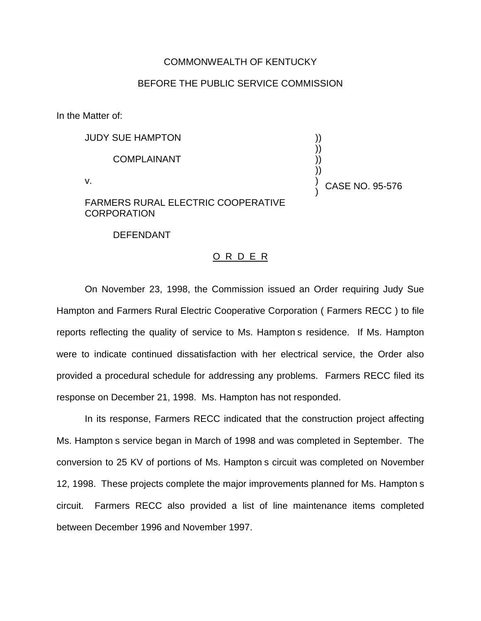## COMMONWEALTH OF KENTUCKY

## BEFORE THE PUBLIC SERVICE COMMISSION

In the Matter of:

| <b>JUDY SUE HAMPTON</b>                   |                 |
|-------------------------------------------|-----------------|
| <b>COMPLAINANT</b>                        |                 |
| v.                                        | CASE NO. 95-576 |
| <b>FARMERS RURAL ELECTRIC COOPERATIVE</b> |                 |

**CORPORATION** 

DEFENDANT

## O R D E R

On November 23, 1998, the Commission issued an Order requiring Judy Sue Hampton and Farmers Rural Electric Cooperative Corporation ( Farmers RECC ) to file reports reflecting the quality of service to Ms. Hampton s residence. If Ms. Hampton were to indicate continued dissatisfaction with her electrical service, the Order also provided a procedural schedule for addressing any problems. Farmers RECC filed its response on December 21, 1998. Ms. Hampton has not responded.

In its response, Farmers RECC indicated that the construction project affecting Ms. Hampton s service began in March of 1998 and was completed in September. The conversion to 25 KV of portions of Ms. Hampton s circuit was completed on November 12, 1998. These projects complete the major improvements planned for Ms. Hampton s circuit. Farmers RECC also provided a list of line maintenance items completed between December 1996 and November 1997.